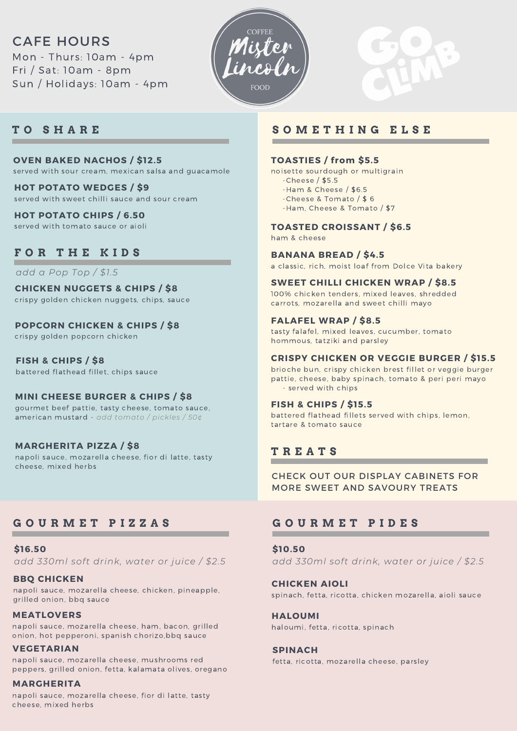# CAFE HOURS

Mon - Thurs: 10am - 4pm Fri / Sat: 10am - 8pm Sun / Holidays: 10am - 4pm



## **T O S H A R E**

#### **OVEN BAKED NACHOS / \$12.5** served with sour cream, mexican salsa and guacamole

**HOT POTATO WEDGES / \$9** served with sweet chilli sauce and sour cream

## **HOT POTATO CHIPS / 6.50**

served with tomato sauce or aioli

## **F O R T H E K I D S**

*add a Pop Top / \$1.5*

**CHICKEN NUGGETS & CHIPS / \$8** crispy golden chicken nuggets, chips, sauce

**POPCORN CHICKEN & CHIPS / \$8**

crispy golden popcorn chicken

**FISH & CHIPS / \$8** battered flathead fillet, chips sauce

### **MINI CHEESE BURGER & CHIPS / \$8**

gourmet beef pattie, tasty cheese, tomato sauce, american mustard - *add tomato / pickles / 50¢*

#### **MARGHERITA PIZZA / \$8**

napoli sauce, mozarella cheese, fior di latte, tasty cheese, mixed herbs

# **G O U R M E T P I Z Z A S**

**\$16.50** *add 330ml soft drink, water or juice / \$2.5*

#### **BBQ CHICKEN**

napoli sauce, mozarella cheese, chicken, pineapple, grilled onion, bbq sauce

#### **MEATLOVERS**

napoli sauce, mozarella cheese, ham, bacon, grilled onion, hot pepperoni, spanish chorizo,bbq sauce

#### **VEGETARIAN**

napoli sauce, mozarella cheese, mushrooms red peppers, grilled onion, fetta, kalamata olives, oregano

#### **MARGHERITA**

napoli sauce, mozarella cheese, fior di latte, tasty cheese, mixed herbs

## **S O M E T H I N G E L S E**

#### **TOASTIES / from \$5.5**

noisette sourdough or multigrain

- -Cheese / \$5.5 -Ham & Cheese / \$6.5
- -Cheese & Tomato / \$ 6
- -Ham, Cheese & Tomato / \$7

#### **TOASTED CROISSANT / \$6.5**

ham & cheese

#### **BANANA BREAD / \$4.5**

a classic, rich, moist loaf from Dolce Vita bakery

#### **SWEET CHILLI CHICKEN WRAP / \$8.5**

100% chicken tenders, mixed leaves, shredded carrots, mozarella and sweet chilli mayo

#### **FALAFEL WRAP / \$8.5**

tasty falafel, mixed leaves, cucumber, tomato hommous, tatziki and parsley

#### **CRISPY CHICKEN OR VEGGIE BURGER / \$15.5**

brioche bun, crispy chicken brest fillet or veggie burger pattie, cheese, baby spinach, tomato & peri peri mayo - served with chips

#### **FISH & CHIPS / \$15.5**

battered flathead fillets served with chips, lemon, tartare & tomato sauce

## **T R E A T S**

CHECK OUT OUR DISPLAY CABINETS FOR MORE SWEET AND SAVOURY TREATS

## **G O U R M E T P I D E S**

**\$10.50** *add 330ml soft drink, water or juice / \$2.5*

**CHICKEN AIOLI** spinach, fetta, ricotta, chicken mozarella, aioli sauce

**HALOUMI** haloumi, fetta, ricotta, spinach

#### **SPINACH**

fetta, ricotta, mozarella cheese, parsley